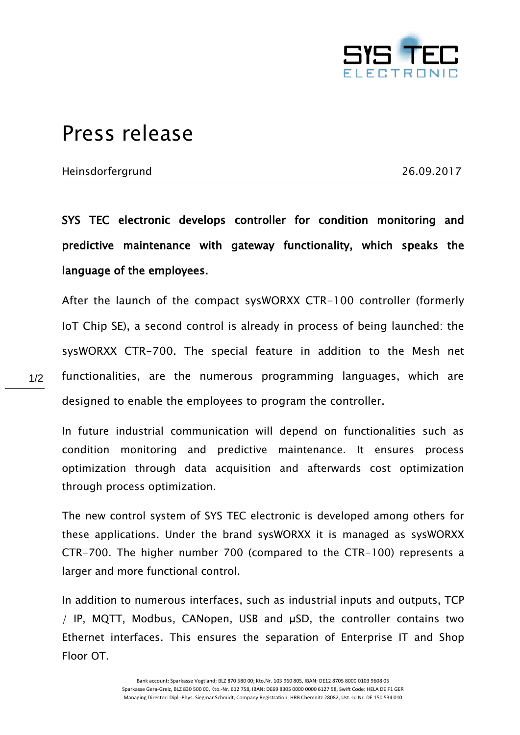

## Press release

Heinsdorfergrund 26.09.2017

1/2

SYS TEC electronic develops controller for condition monitoring and predictive maintenance with gateway functionality, which speaks the language of the employees.

After the launch of the compact sysWORXX CTR-100 controller (formerly IoT Chip SE), a second control is already in process of being launched: the sysWORXX CTR-700. The special feature in addition to the Mesh net functionalities, are the numerous programming languages, which are designed to enable the employees to program the controller.

In future industrial communication will depend on functionalities such as condition monitoring and predictive maintenance. It ensures process optimization through data acquisition and afterwards cost optimization through process optimization.

The new control system of SYS TEC electronic is developed among others for these applications. Under the brand sysWORXX it is managed as sysWORXX CTR-700. The higher number 700 (compared to the CTR-100) represents a larger and more functional control.

In addition to numerous interfaces, such as industrial inputs and outputs, TCP / IP, MQTT, Modbus, CANopen, USB and μSD, the controller contains two Ethernet interfaces. This ensures the separation of Enterprise IT and Shop Floor OT.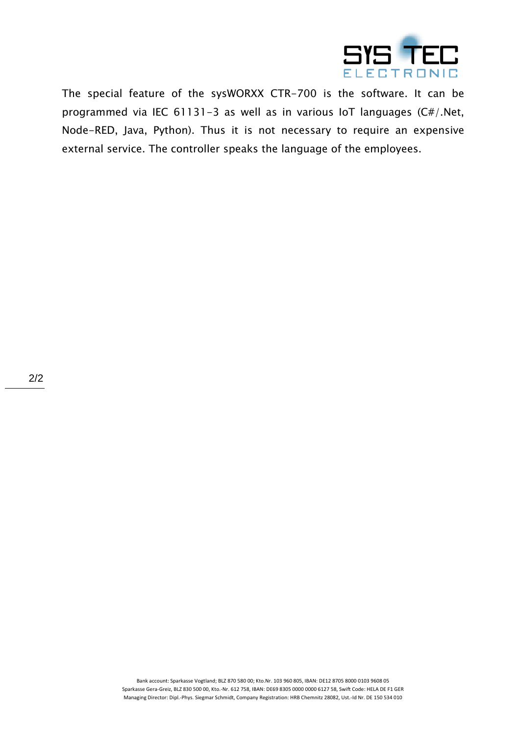

The special feature of the sysWORXX CTR-700 is the software. It can be programmed via IEC 61131-3 as well as in various IoT languages (C#/.Net, Node-RED, Java, Python). Thus it is not necessary to require an expensive external service. The controller speaks the language of the employees.

> Bank account: Sparkasse Vogtland; BLZ 870 580 00; Kto.Nr. 103 960 805, IBAN: DE12 8705 8000 0103 9608 05 Sparkasse Gera-Greiz, BLZ 830 500 00, Kto.-Nr. 612 758, IBAN: DE69 8305 0000 0000 6127 58, Swift Code: HELA DE F1 GER Managing Director: Dipl.-Phys. Siegmar Schmidt, Company Registration: HRB Chemnitz 28082, Ust.-Id Nr. DE 150 534 010

2/2